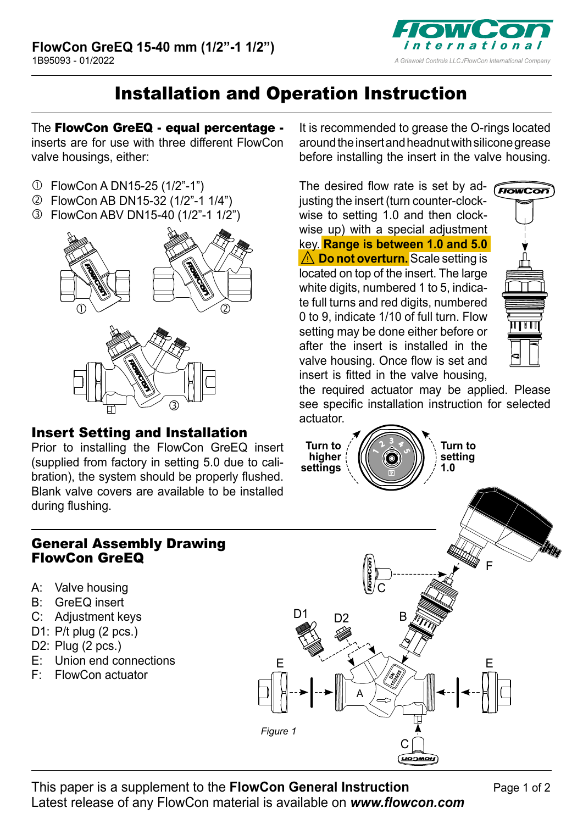

## Installation and Operation Instruction

The FlowCon GreEQ - equal percentage inserts are for use with three different FlowCon valve housings, either:

- FlowCon A DN15-25 (1/2"-1")
- FlowCon AB DN15-32 (1/2"-1 1/4")
- FlowCon ABV DN15-40 (1/2"-1 1/2")



## Insert Setting and Installation

Prior to installing the FlowCon GreEQ insert (supplied from factory in setting 5.0 due to calibration), the system should be properly flushed. Blank valve covers are available to be installed during flushing.

## General Assembly Drawing FlowCon GreEQ

- A: Valve housing
- B: GreEQ insert
- C: Adjustment keys
- D1: P/t plug (2 pcs.)
- D2: Plug (2 pcs.)
- E: Union end connections
- F: FlowCon actuator

It is recommended to grease the O-rings located around the insert and headnut with silicone grease before installing the insert in the valve housing.

The desired flow rate is set by adiusting the insert (turn counter-clockwise to setting 1.0 and then clockwise up) with a special adiustment key. **Range is between 1.0 and 5.0** ⚠**Do not overturn.** Scale setting is located on top of the insert. The large white digits, numbered 1 to 5, indicate full turns and red digits, numbered 0 to 9, indicate 1/10 of full turn. Flow setting may be done either before or after the insert is installed in the valve housing. Once flow is set and insert is fitted in the valve housing,



the required actuator may be applied. Please see specific installation instruction for selected actuator.



B

E XVX E

C

C

*Figure 1*

A

 $\frac{D1}{20}$  D<sub>2</sub>

F